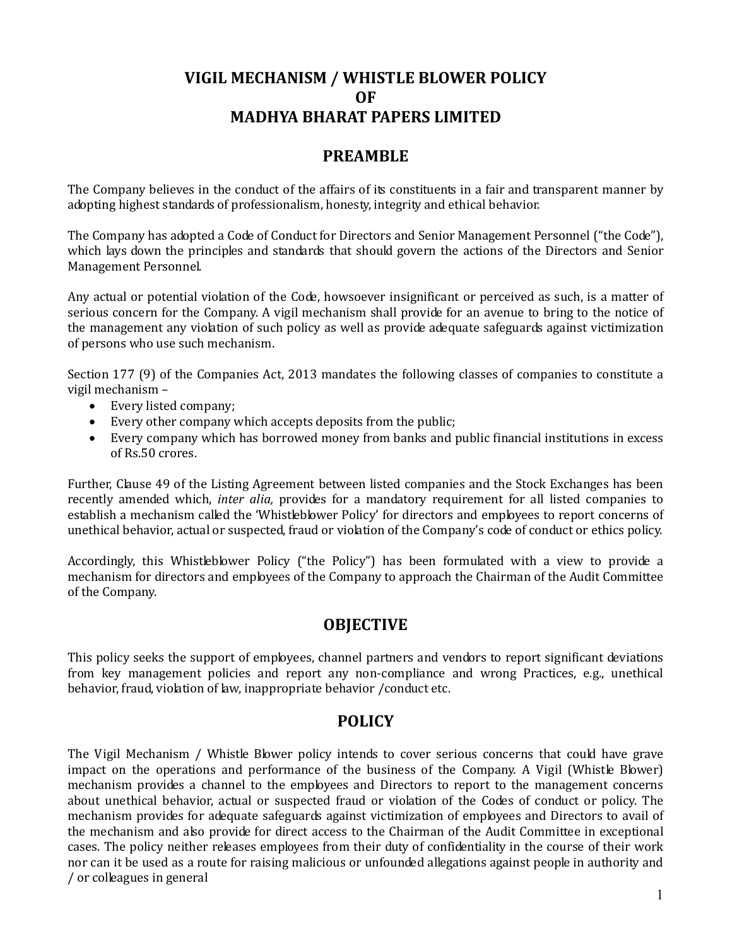# VIGIL MECHANISM / WHISTLE BLOWER POLICY OF MADHYA BHARAT PAPERS LIMITED

## PREAMBLE

The Company believes in the conduct of the affairs of its constituents in a fair and transparent manner by adopting highest standards of professionalism, honesty, integrity and ethical behavior.

The Company has adopted a Code of Conduct for Directors and Senior Management Personnel ("the Code"), which lays down the principles and standards that should govern the actions of the Directors and Senior Management Personnel.

Any actual or potential violation of the Code, howsoever insignificant or perceived as such, is a matter of serious concern for the Company. A vigil mechanism shall provide for an avenue to bring to the notice of the management any violation of such policy as well as provide adequate safeguards against victimization of persons who use such mechanism.

Section 177 (9) of the Companies Act, 2013 mandates the following classes of companies to constitute a vigil mechanism –

- Every listed company;
- Every other company which accepts deposits from the public;
- Every company which has borrowed money from banks and public financial institutions in excess of Rs.50 crores.

Further, Clause 49 of the Listing Agreement between listed companies and the Stock Exchanges has been recently amended which, inter alia, provides for a mandatory requirement for all listed companies to establish a mechanism called the 'Whistleblower Policy' for directors and employees to report concerns of unethical behavior, actual or suspected, fraud or violation of the Company's code of conduct or ethics policy.

Accordingly, this Whistleblower Policy ("the Policy") has been formulated with a view to provide a mechanism for directors and employees of the Company to approach the Chairman of the Audit Committee of the Company.

### **OBJECTIVE**

This policy seeks the support of employees, channel partners and vendors to report significant deviations from key management policies and report any non-compliance and wrong Practices, e.g., unethical behavior, fraud, violation of law, inappropriate behavior /conduct etc.

### POLICY

The Vigil Mechanism / Whistle Blower policy intends to cover serious concerns that could have grave impact on the operations and performance of the business of the Company. A Vigil (Whistle Blower) mechanism provides a channel to the employees and Directors to report to the management concerns about unethical behavior, actual or suspected fraud or violation of the Codes of conduct or policy. The mechanism provides for adequate safeguards against victimization of employees and Directors to avail of the mechanism and also provide for direct access to the Chairman of the Audit Committee in exceptional cases. The policy neither releases employees from their duty of confidentiality in the course of their work nor can it be used as a route for raising malicious or unfounded allegations against people in authority and / or colleagues in general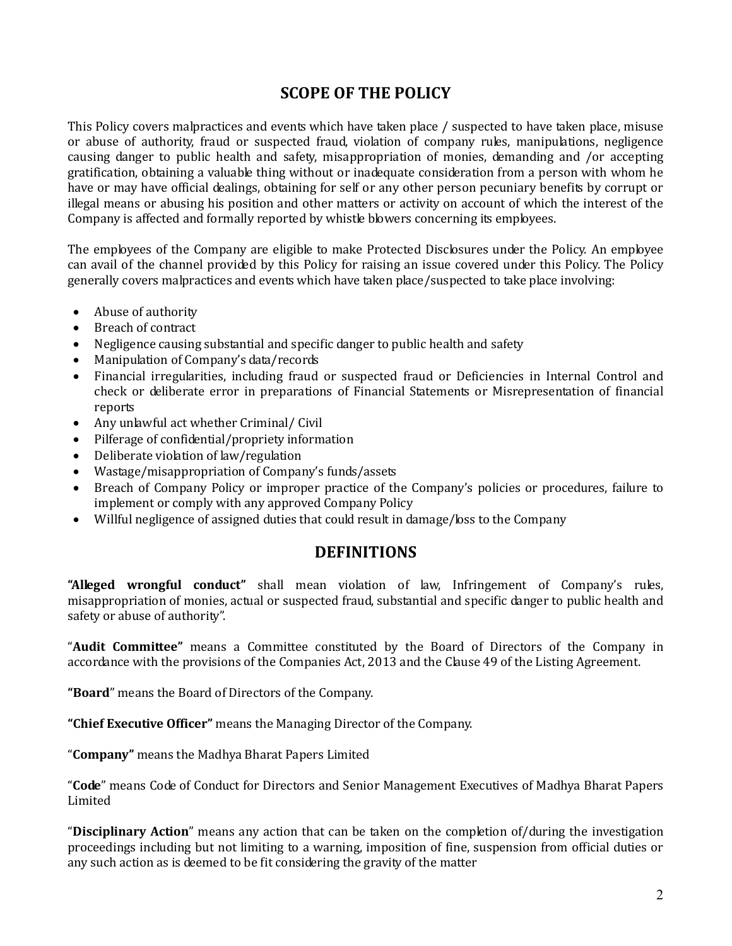## SCOPE OF THE POLICY

This Policy covers malpractices and events which have taken place / suspected to have taken place, misuse or abuse of authority, fraud or suspected fraud, violation of company rules, manipulations, negligence causing danger to public health and safety, misappropriation of monies, demanding and /or accepting gratification, obtaining a valuable thing without or inadequate consideration from a person with whom he have or may have official dealings, obtaining for self or any other person pecuniary benefits by corrupt or illegal means or abusing his position and other matters or activity on account of which the interest of the Company is affected and formally reported by whistle blowers concerning its employees.

The employees of the Company are eligible to make Protected Disclosures under the Policy. An employee can avail of the channel provided by this Policy for raising an issue covered under this Policy. The Policy generally covers malpractices and events which have taken place/suspected to take place involving:

- Abuse of authority
- Breach of contract
- Negligence causing substantial and specific danger to public health and safety
- Manipulation of Company's data/records
- Financial irregularities, including fraud or suspected fraud or Deficiencies in Internal Control and check or deliberate error in preparations of Financial Statements or Misrepresentation of financial reports
- Any unlawful act whether Criminal/ Civil
- Pilferage of confidential/propriety information
- Deliberate violation of law/regulation
- Wastage/misappropriation of Company's funds/assets
- Breach of Company Policy or improper practice of the Company's policies or procedures, failure to implement or comply with any approved Company Policy
- Willful negligence of assigned duties that could result in damage/loss to the Company

#### DEFINITIONS

"Alleged wrongful conduct" shall mean violation of law, Infringement of Company's rules, misappropriation of monies, actual or suspected fraud, substantial and specific danger to public health and safety or abuse of authority".

"Audit Committee" means a Committee constituted by the Board of Directors of the Company in accordance with the provisions of the Companies Act, 2013 and the Clause 49 of the Listing Agreement.

"Board" means the Board of Directors of the Company.

"Chief Executive Officer" means the Managing Director of the Company.

"Company" means the Madhya Bharat Papers Limited

"Code" means Code of Conduct for Directors and Senior Management Executives of Madhya Bharat Papers Limited

"Disciplinary Action" means any action that can be taken on the completion of/during the investigation proceedings including but not limiting to a warning, imposition of fine, suspension from official duties or any such action as is deemed to be fit considering the gravity of the matter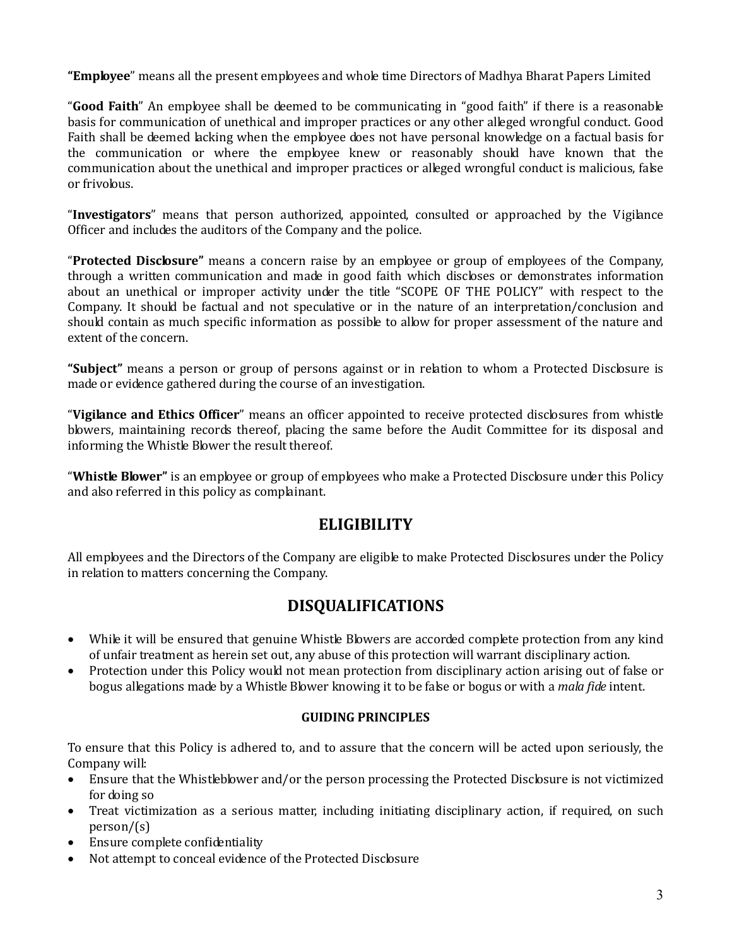"Employee" means all the present employees and whole time Directors of Madhya Bharat Papers Limited

"Good Faith" An employee shall be deemed to be communicating in "good faith" if there is a reasonable basis for communication of unethical and improper practices or any other alleged wrongful conduct. Good Faith shall be deemed lacking when the employee does not have personal knowledge on a factual basis for the communication or where the employee knew or reasonably should have known that the communication about the unethical and improper practices or alleged wrongful conduct is malicious, false or frivolous.

"Investigators" means that person authorized, appointed, consulted or approached by the Vigilance Officer and includes the auditors of the Company and the police.

"Protected Disclosure" means a concern raise by an employee or group of employees of the Company, through a written communication and made in good faith which discloses or demonstrates information about an unethical or improper activity under the title "SCOPE OF THE POLICY" with respect to the Company. It should be factual and not speculative or in the nature of an interpretation/conclusion and should contain as much specific information as possible to allow for proper assessment of the nature and extent of the concern.

"Subject" means a person or group of persons against or in relation to whom a Protected Disclosure is made or evidence gathered during the course of an investigation.

"Vigilance and Ethics Officer" means an officer appointed to receive protected disclosures from whistle blowers, maintaining records thereof, placing the same before the Audit Committee for its disposal and informing the Whistle Blower the result thereof.

"Whistle Blower" is an employee or group of employees who make a Protected Disclosure under this Policy and also referred in this policy as complainant.

### **ELIGIBILITY**

All employees and the Directors of the Company are eligible to make Protected Disclosures under the Policy in relation to matters concerning the Company.

# DISQUALIFICATIONS

- While it will be ensured that genuine Whistle Blowers are accorded complete protection from any kind of unfair treatment as herein set out, any abuse of this protection will warrant disciplinary action.
- Protection under this Policy would not mean protection from disciplinary action arising out of false or bogus allegations made by a Whistle Blower knowing it to be false or bogus or with a mala fide intent.

#### GUIDING PRINCIPLES

To ensure that this Policy is adhered to, and to assure that the concern will be acted upon seriously, the Company will:

- Ensure that the Whistleblower and/or the person processing the Protected Disclosure is not victimized for doing so
- Treat victimization as a serious matter, including initiating disciplinary action, if required, on such person/(s)
- Ensure complete confidentiality
- Not attempt to conceal evidence of the Protected Disclosure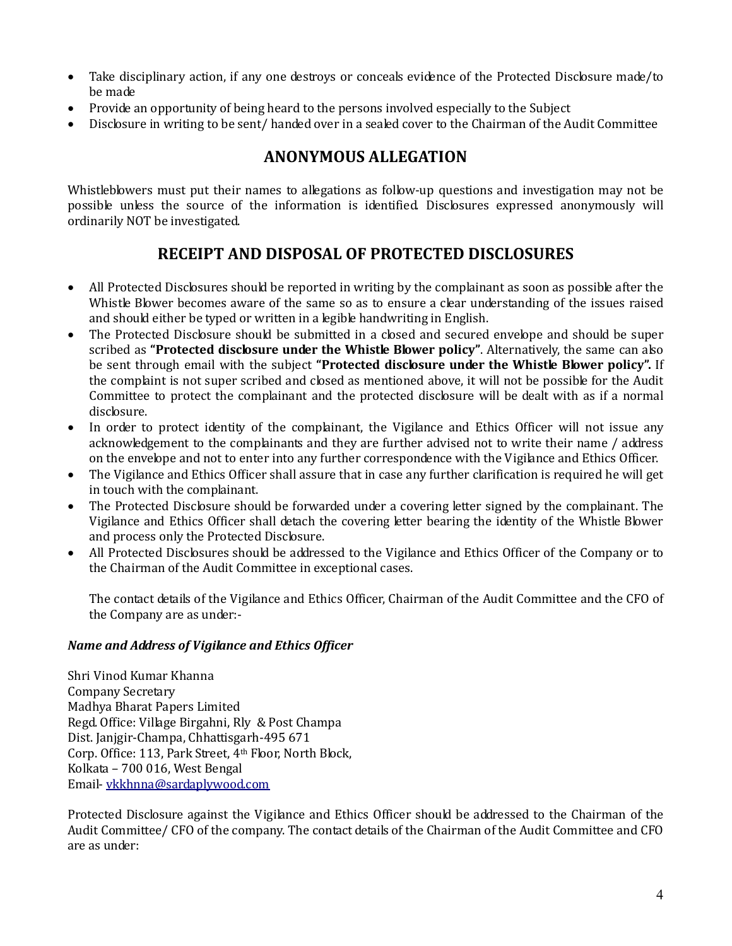- Take disciplinary action, if any one destroys or conceals evidence of the Protected Disclosure made/to be made
- Provide an opportunity of being heard to the persons involved especially to the Subject
- Disclosure in writing to be sent/ handed over in a sealed cover to the Chairman of the Audit Committee

# ANONYMOUS ALLEGATION

Whistleblowers must put their names to allegations as follow-up questions and investigation may not be possible unless the source of the information is identified. Disclosures expressed anonymously will ordinarily NOT be investigated.

# RECEIPT AND DISPOSAL OF PROTECTED DISCLOSURES

- All Protected Disclosures should be reported in writing by the complainant as soon as possible after the Whistle Blower becomes aware of the same so as to ensure a clear understanding of the issues raised and should either be typed or written in a legible handwriting in English.
- The Protected Disclosure should be submitted in a closed and secured envelope and should be super scribed as "Protected disclosure under the Whistle Blower policy". Alternatively, the same can also be sent through email with the subject "Protected disclosure under the Whistle Blower policy". If the complaint is not super scribed and closed as mentioned above, it will not be possible for the Audit Committee to protect the complainant and the protected disclosure will be dealt with as if a normal disclosure.
- In order to protect identity of the complainant, the Vigilance and Ethics Officer will not issue any acknowledgement to the complainants and they are further advised not to write their name / address on the envelope and not to enter into any further correspondence with the Vigilance and Ethics Officer.
- The Vigilance and Ethics Officer shall assure that in case any further clarification is required he will get in touch with the complainant.
- The Protected Disclosure should be forwarded under a covering letter signed by the complainant. The Vigilance and Ethics Officer shall detach the covering letter bearing the identity of the Whistle Blower and process only the Protected Disclosure.
- All Protected Disclosures should be addressed to the Vigilance and Ethics Officer of the Company or to the Chairman of the Audit Committee in exceptional cases.

The contact details of the Vigilance and Ethics Officer, Chairman of the Audit Committee and the CFO of the Company are as under:-

#### Name and Address of Vigilance and Ethics Officer

Shri Vinod Kumar Khanna Company Secretary Madhya Bharat Papers Limited Regd. Office: Village Birgahni, Rly & Post Champa Dist. Janjgir-Champa, Chhattisgarh-495 671 Corp. Office: 113, Park Street, 4th Floor, North Block, Kolkata – 700 016, West Bengal Email- vkkhnna@sardaplywood.com

Protected Disclosure against the Vigilance and Ethics Officer should be addressed to the Chairman of the Audit Committee/ CFO of the company. The contact details of the Chairman of the Audit Committee and CFO are as under: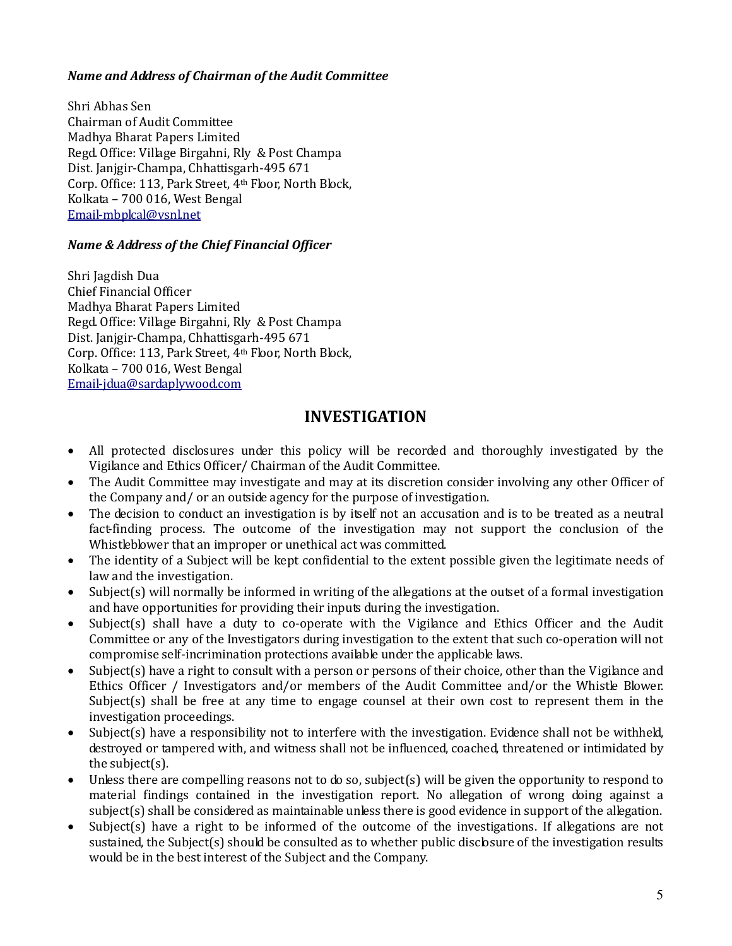#### Name and Address of Chairman of the Audit Committee

Shri Abhas Sen Chairman of Audit Committee Madhya Bharat Papers Limited Regd. Office: Village Birgahni, Rly & Post Champa Dist. Janjgir-Champa, Chhattisgarh-495 671 Corp. Office: 113, Park Street, 4th Floor, North Block, Kolkata – 700 016, West Bengal Email-mbplcal@vsnl.net

#### Name & Address of the Chief Financial Officer

Shri Jagdish Dua Chief Financial Officer Madhya Bharat Papers Limited Regd. Office: Village Birgahni, Rly & Post Champa Dist. Janjgir-Champa, Chhattisgarh-495 671 Corp. Office: 113, Park Street, 4th Floor, North Block, Kolkata – 700 016, West Bengal Email-jdua@sardaplywood.com

#### INVESTIGATION

- All protected disclosures under this policy will be recorded and thoroughly investigated by the Vigilance and Ethics Officer/ Chairman of the Audit Committee.
- The Audit Committee may investigate and may at its discretion consider involving any other Officer of the Company and/ or an outside agency for the purpose of investigation.
- The decision to conduct an investigation is by itself not an accusation and is to be treated as a neutral fact-finding process. The outcome of the investigation may not support the conclusion of the Whistleblower that an improper or unethical act was committed.
- The identity of a Subject will be kept confidential to the extent possible given the legitimate needs of law and the investigation.
- Subject(s) will normally be informed in writing of the allegations at the outset of a formal investigation and have opportunities for providing their inputs during the investigation.
- Subject(s) shall have a duty to co-operate with the Vigilance and Ethics Officer and the Audit Committee or any of the Investigators during investigation to the extent that such co-operation will not compromise self-incrimination protections available under the applicable laws.
- Subject(s) have a right to consult with a person or persons of their choice, other than the Vigilance and Ethics Officer / Investigators and/or members of the Audit Committee and/or the Whistle Blower. Subject(s) shall be free at any time to engage counsel at their own cost to represent them in the investigation proceedings.
- Subject(s) have a responsibility not to interfere with the investigation. Evidence shall not be withheld, destroyed or tampered with, and witness shall not be influenced, coached, threatened or intimidated by the subject(s).
- Unless there are compelling reasons not to do so, subject(s) will be given the opportunity to respond to material findings contained in the investigation report. No allegation of wrong doing against a subject(s) shall be considered as maintainable unless there is good evidence in support of the allegation.
- Subject(s) have a right to be informed of the outcome of the investigations. If allegations are not sustained, the Subject(s) should be consulted as to whether public disclosure of the investigation results would be in the best interest of the Subject and the Company.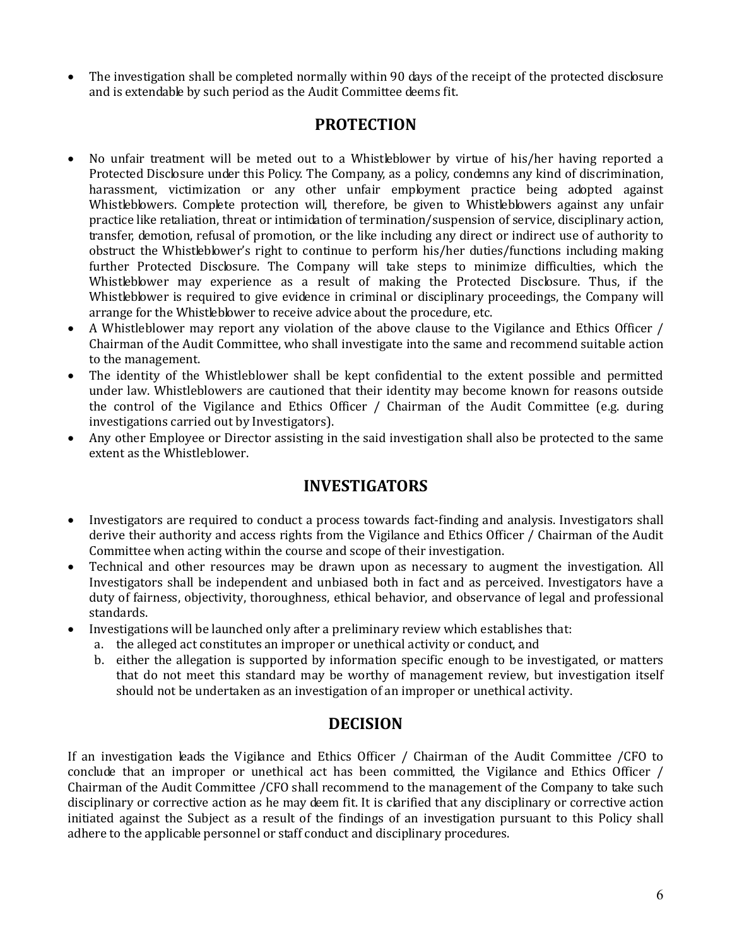• The investigation shall be completed normally within 90 days of the receipt of the protected disclosure and is extendable by such period as the Audit Committee deems fit.

#### PROTECTION

- No unfair treatment will be meted out to a Whistleblower by virtue of his/her having reported a Protected Disclosure under this Policy. The Company, as a policy, condemns any kind of discrimination, harassment, victimization or any other unfair employment practice being adopted against Whistleblowers. Complete protection will, therefore, be given to Whistleblowers against any unfair practice like retaliation, threat or intimidation of termination/suspension of service, disciplinary action, transfer, demotion, refusal of promotion, or the like including any direct or indirect use of authority to obstruct the Whistleblower's right to continue to perform his/her duties/functions including making further Protected Disclosure. The Company will take steps to minimize difficulties, which the Whistleblower may experience as a result of making the Protected Disclosure. Thus, if the Whistleblower is required to give evidence in criminal or disciplinary proceedings, the Company will arrange for the Whistleblower to receive advice about the procedure, etc.
- A Whistleblower may report any violation of the above clause to the Vigilance and Ethics Officer / Chairman of the Audit Committee, who shall investigate into the same and recommend suitable action to the management.
- The identity of the Whistleblower shall be kept confidential to the extent possible and permitted under law. Whistleblowers are cautioned that their identity may become known for reasons outside the control of the Vigilance and Ethics Officer / Chairman of the Audit Committee (e.g. during investigations carried out by Investigators).
- Any other Employee or Director assisting in the said investigation shall also be protected to the same extent as the Whistleblower.

# INVESTIGATORS

- Investigators are required to conduct a process towards fact-finding and analysis. Investigators shall derive their authority and access rights from the Vigilance and Ethics Officer / Chairman of the Audit Committee when acting within the course and scope of their investigation.
- Technical and other resources may be drawn upon as necessary to augment the investigation. All Investigators shall be independent and unbiased both in fact and as perceived. Investigators have a duty of fairness, objectivity, thoroughness, ethical behavior, and observance of legal and professional standards.
- Investigations will be launched only after a preliminary review which establishes that:
	- a. the alleged act constitutes an improper or unethical activity or conduct, and
		- b. either the allegation is supported by information specific enough to be investigated, or matters that do not meet this standard may be worthy of management review, but investigation itself should not be undertaken as an investigation of an improper or unethical activity.

### DECISION

If an investigation leads the Vigilance and Ethics Officer / Chairman of the Audit Committee /CFO to conclude that an improper or unethical act has been committed, the Vigilance and Ethics Officer / Chairman of the Audit Committee /CFO shall recommend to the management of the Company to take such disciplinary or corrective action as he may deem fit. It is clarified that any disciplinary or corrective action initiated against the Subject as a result of the findings of an investigation pursuant to this Policy shall adhere to the applicable personnel or staff conduct and disciplinary procedures.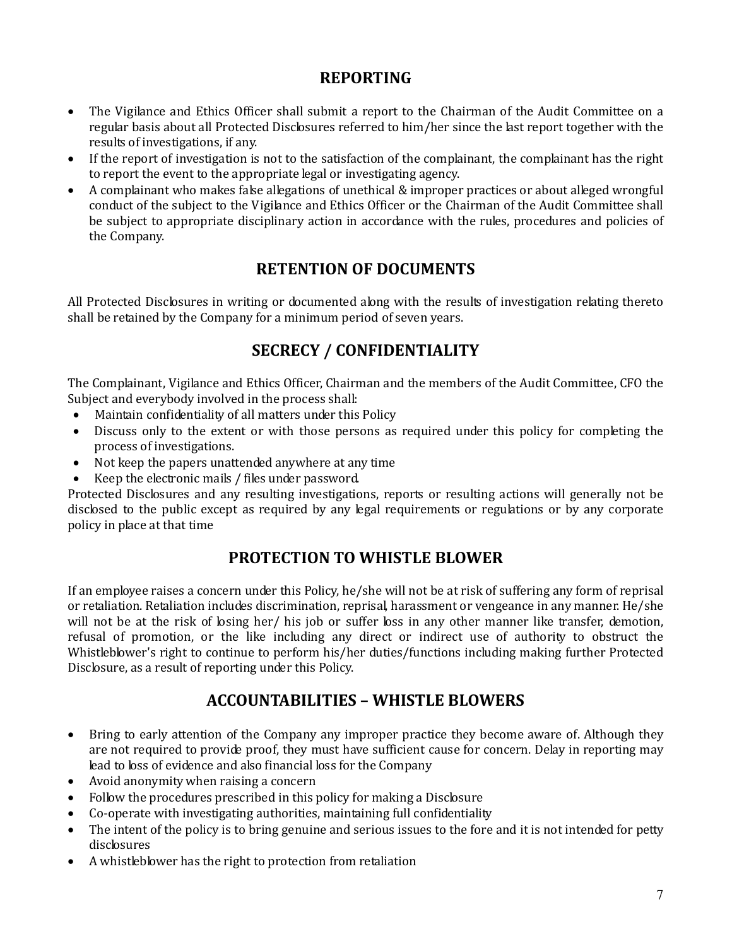## REPORTING

- The Vigilance and Ethics Officer shall submit a report to the Chairman of the Audit Committee on a regular basis about all Protected Disclosures referred to him/her since the last report together with the results of investigations, if any.
- If the report of investigation is not to the satisfaction of the complainant, the complainant has the right to report the event to the appropriate legal or investigating agency.
- A complainant who makes false allegations of unethical & improper practices or about alleged wrongful conduct of the subject to the Vigilance and Ethics Officer or the Chairman of the Audit Committee shall be subject to appropriate disciplinary action in accordance with the rules, procedures and policies of the Company.

# RETENTION OF DOCUMENTS

All Protected Disclosures in writing or documented along with the results of investigation relating thereto shall be retained by the Company for a minimum period of seven years.

# SECRECY / CONFIDENTIALITY

The Complainant, Vigilance and Ethics Officer, Chairman and the members of the Audit Committee, CFO the Subject and everybody involved in the process shall:

- Maintain confidentiality of all matters under this Policy
- Discuss only to the extent or with those persons as required under this policy for completing the process of investigations.
- Not keep the papers unattended anywhere at any time
- Keep the electronic mails / files under password.

Protected Disclosures and any resulting investigations, reports or resulting actions will generally not be disclosed to the public except as required by any legal requirements or regulations or by any corporate policy in place at that time

# PROTECTION TO WHISTLE BLOWER

If an employee raises a concern under this Policy, he/she will not be at risk of suffering any form of reprisal or retaliation. Retaliation includes discrimination, reprisal, harassment or vengeance in any manner. He/she will not be at the risk of losing her/ his job or suffer loss in any other manner like transfer, demotion, refusal of promotion, or the like including any direct or indirect use of authority to obstruct the Whistleblower's right to continue to perform his/her duties/functions including making further Protected Disclosure, as a result of reporting under this Policy.

# ACCOUNTABILITIES – WHISTLE BLOWERS

- Bring to early attention of the Company any improper practice they become aware of. Although they are not required to provide proof, they must have sufficient cause for concern. Delay in reporting may lead to loss of evidence and also financial loss for the Company
- Avoid anonymity when raising a concern
- Follow the procedures prescribed in this policy for making a Disclosure
- Co-operate with investigating authorities, maintaining full confidentiality
- The intent of the policy is to bring genuine and serious issues to the fore and it is not intended for petty disclosures
- A whistleblower has the right to protection from retaliation